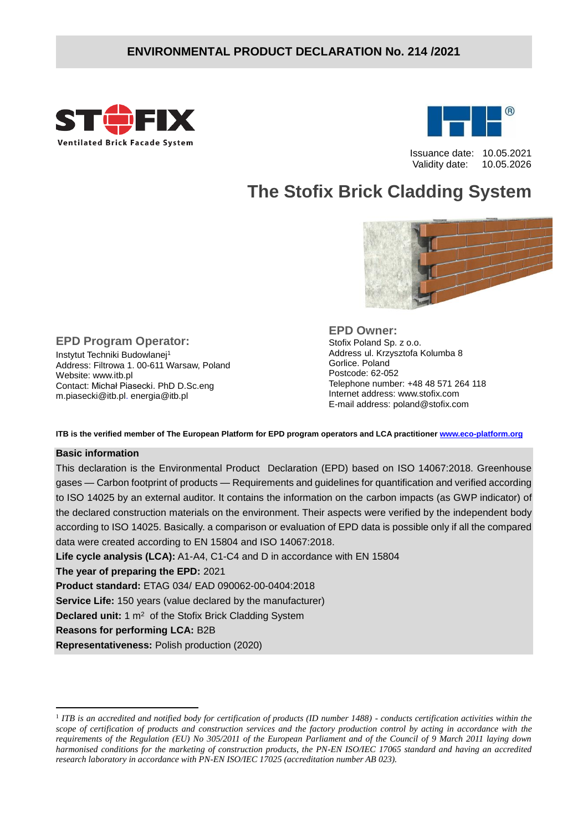

**EPD Program Operator:** Instytut Techniki Budowlanej<sup>1</sup>

Address: Filtrowa 1. 00-611 Warsaw, Poland

Contact: Michał Piasecki. PhD D.Sc.eng m.piasecki@itb.pl. energia@itb.pl



 Issuance date: 10.05.2021 Validity date: 10.05.2026

# **The Stofix Brick Cladding System**



**EPD Owner:** Stofix Poland Sp. z o.o. Address ul. Krzysztofa Kolumba 8 Gorlice. Poland Postcode: 62-052 Telephone number: +48 48 571 264 118 Internet address: www.stofix.com E-mail address: poland@stofix.com

**ITB is the verified member of The European Platform for EPD program operators and LCA practitioner [www.eco-platform.org](http://www.eco-platform.org/)**

#### **Basic information**

1

Website: www.itb.pl

This declaration is the Environmental Product Declaration (EPD) based on ISO 14067:2018. Greenhouse gases — Carbon footprint of products — Requirements and guidelines for quantification and verified according to ISO 14025 by an external auditor. It contains the information on the carbon impacts (as GWP indicator) of the declared construction materials on the environment. Their aspects were verified by the independent body according to ISO 14025. Basically. a comparison or evaluation of EPD data is possible only if all the compared data were created according to EN 15804 and ISO 14067:2018.

**Life cycle analysis (LCA):** A1-A4, C1-C4 and D in accordance with EN 15804

**The year of preparing the EPD:** 2021

**Product standard:** ETAG 034/ EAD 090062-00-0404:2018

**Service Life:** 150 years (value declared by the manufacturer)

**Declared unit:** 1 m<sup>2</sup> of the Stofix Brick Cladding System

**Reasons for performing LCA:** B2B

**Representativeness:** Polish production (2020)

<sup>&</sup>lt;sup>1</sup> ITB is an accredited and notified body for certification of products (ID number 1488) - conducts certification activities within the *scope of certification of products and construction services and the factory production control by acting in accordance with the requirements of the Regulation (EU) No 305/2011 of the European Parliament and of the Council of 9 March 2011 laying down harmonised conditions for the marketing of construction products, the PN-EN ISO/IEC 17065 standard and having an accredited research laboratory in accordance with PN-EN ISO/IEC 17025 (accreditation number AB 023).*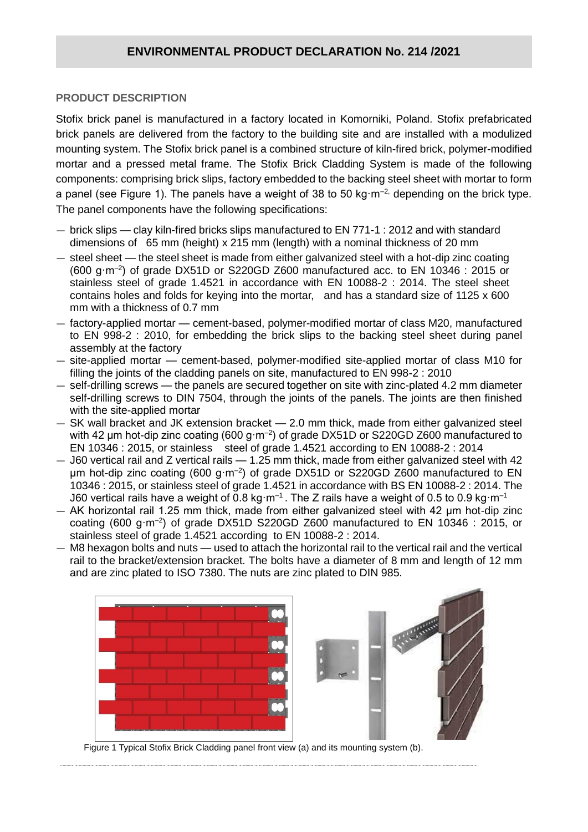#### **PRODUCT DESCRIPTION**

Stofix brick panel is manufactured in a factory located in Komorniki, Poland. Stofix prefabricated brick panels are delivered from the factory to the building site and are installed with a modulized mounting system. The Stofix brick panel is a combined structure of kiln-fired brick, polymer-modified mortar and a pressed metal frame. The Stofix Brick Cladding System is made of the following components: comprising brick slips, factory embedded to the backing steel sheet with mortar to form a panel (see Figure 1). The panels have a weight of 38 to 50 kg·m<sup>-2,</sup> depending on the brick type. The panel components have the following specifications:

- brick slips clay kiln-fired bricks slips manufactured to EN 771-1 : 2012 and with standard dimensions of 65 mm (height) x 215 mm (length) with a nominal thickness of 20 mm
- steel sheet the steel sheet is made from either galvanized steel with a hot-dip zinc coating  $(600 \text{ g} \cdot \text{m}^{-2})$  of grade DX51D or S220GD Z600 manufactured acc. to EN 10346 : 2015 or stainless steel of grade 1.4521 in accordance with EN 10088-2 : 2014. The steel sheet contains holes and folds for keying into the mortar, and has a standard size of 1125 x 600 mm with a thickness of 0.7 mm
- factory-applied mortar cement-based, polymer-modified mortar of class M20, manufactured to EN 998-2 : 2010, for embedding the brick slips to the backing steel sheet during panel assembly at the factory
- site-applied mortar cement-based, polymer-modified site-applied mortar of class M10 for filling the joints of the cladding panels on site, manufactured to EN 998-2 : 2010
- self-drilling screws the panels are secured together on site with zinc-plated 4.2 mm diameter self-drilling screws to DIN 7504, through the joints of the panels. The joints are then finished with the site-applied mortar
- SK wall bracket and JK extension bracket 2.0 mm thick, made from either galvanized steel with 42  $\mu$ m hot-dip zinc coating (600 g·m<sup>-2</sup>) of grade DX51D or S220GD Z600 manufactured to EN 10346 : 2015, or stainless steel of grade 1.4521 according to EN 10088-2 : 2014
- J60 vertical rail and Z vertical rails 1.25 mm thick, made from either galvanized steel with 42 μm hot-dip zinc coating (600 g·m–2 ) of grade DX51D or S220GD Z600 manufactured to EN 10346 : 2015, or stainless steel of grade 1.4521 in accordance with BS EN 10088-2 : 2014. The J60 vertical rails have a weight of 0.8 kg·m<sup>-1</sup>. The Z rails have a weight of 0.5 to 0.9 kg·m<sup>-1</sup>
- AK horizontal rail 1.25 mm thick, made from either galvanized steel with 42 μm hot-dip zinc coating (600 g $\cdot$ m<sup>-2</sup>) of grade DX51D S220GD Z600 manufactured to EN 10346 : 2015, or stainless steel of grade 1.4521 according to EN 10088-2 : 2014.
- M8 hexagon bolts and nuts used to attach the horizontal rail to the vertical rail and the vertical rail to the bracket/extension bracket. The bolts have a diameter of 8 mm and length of 12 mm and are zinc plated to ISO 7380. The nuts are zinc plated to DIN 985.



Figure 1 Typical Stofix Brick Cladding panel front view (a) and its mounting system (b).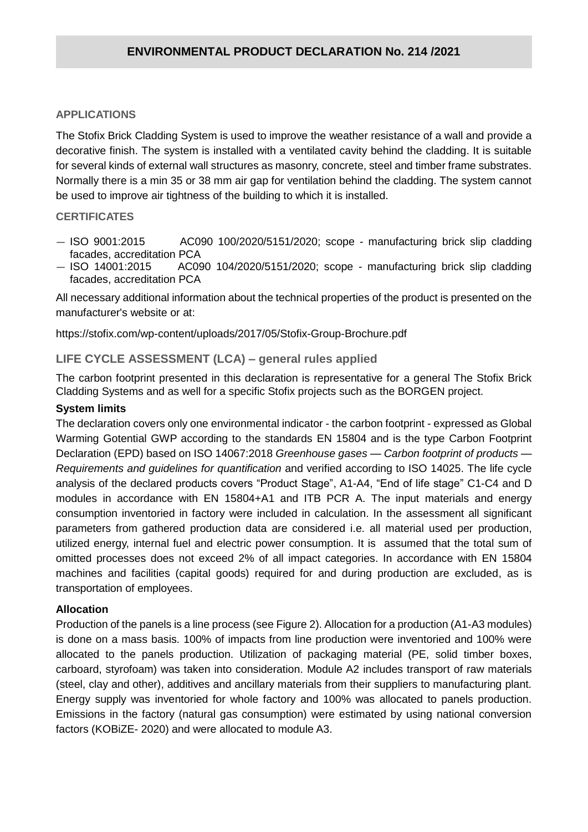#### **APPLICATIONS**

The Stofix Brick Cladding System is used to improve the weather resistance of a wall and provide a decorative finish. The system is installed with a ventilated cavity behind the cladding. It is suitable for several kinds of external wall structures as masonry, concrete, steel and timber frame substrates. Normally there is a min 35 or 38 mm air gap for ventilation behind the cladding. The system cannot be used to improve air tightness of the building to which it is installed.

#### **CERTIFICATES**

- ISO 9001:2015 AC090 100/2020/5151/2020; scope manufacturing brick slip cladding facades, accreditation PCA
- ISO 14001:2015 AC090 104/2020/5151/2020; scope manufacturing brick slip cladding facades, accreditation PCA

All necessary additional information about the technical properties of the product is presented on the manufacturer's website or at:

https://stofix.com/wp-content/uploads/2017/05/Stofix-Group-Brochure.pdf

#### **LIFE CYCLE ASSESSMENT (LCA) – general rules applied**

The carbon footprint presented in this declaration is representative for a general The Stofix Brick Cladding Systems and as well for a specific Stofix projects such as the BORGEN project.

#### **System limits**

The declaration covers only one environmental indicator - the carbon footprint - expressed as Global Warming Gotential GWP according to the standards EN 15804 and is the type Carbon Footprint Declaration (EPD) based on ISO 14067:2018 *Greenhouse gases — Carbon footprint of products — Requirements and guidelines for quantification* and verified according to ISO 14025. The life cycle analysis of the declared products covers "Product Stage", A1-A4, "End of life stage" C1-C4 and D modules in accordance with EN 15804+A1 and ITB PCR A. The input materials and energy consumption inventoried in factory were included in calculation. In the assessment all significant parameters from gathered production data are considered i.e. all material used per production, utilized energy, internal fuel and electric power consumption. It is assumed that the total sum of omitted processes does not exceed 2% of all impact categories. In accordance with EN 15804 machines and facilities (capital goods) required for and during production are excluded, as is transportation of employees.

#### **Allocation**

Production of the panels is a line process (see Figure 2). Allocation for a production (A1-A3 modules) is done on a mass basis. 100% of impacts from line production were inventoried and 100% were allocated to the panels production. Utilization of packaging material (PE, solid timber boxes, carboard, styrofoam) was taken into consideration. Module A2 includes transport of raw materials (steel, clay and other), additives and ancillary materials from their suppliers to manufacturing plant. Energy supply was inventoried for whole factory and 100% was allocated to panels production. Emissions in the factory (natural gas consumption) were estimated by using national conversion factors (KOBiZE- 2020) and were allocated to module A3.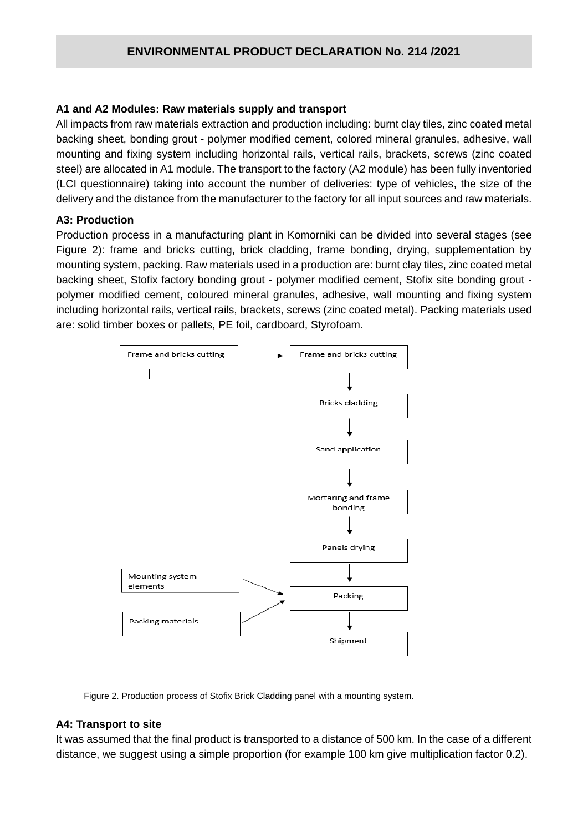#### **A1 and A2 Modules: Raw materials supply and transport**

All impacts from raw materials extraction and production including: burnt clay tiles, zinc coated metal backing sheet, bonding grout - polymer modified cement, colored mineral granules, adhesive, wall mounting and fixing system including horizontal rails, vertical rails, brackets, screws (zinc coated steel) are allocated in A1 module. The transport to the factory (A2 module) has been fully inventoried (LCI questionnaire) taking into account the number of deliveries: type of vehicles, the size of the delivery and the distance from the manufacturer to the factory for all input sources and raw materials.

#### **A3: Production**

Production process in a manufacturing plant in Komorniki can be divided into several stages (see Figure 2): frame and bricks cutting, brick cladding, frame bonding, drying, supplementation by mounting system, packing. Raw materials used in a production are: burnt clay tiles, zinc coated metal backing sheet, Stofix factory bonding grout - polymer modified cement, Stofix site bonding grout polymer modified cement, coloured mineral granules, adhesive, wall mounting and fixing system including horizontal rails, vertical rails, brackets, screws (zinc coated metal). Packing materials used are: solid timber boxes or pallets, PE foil, cardboard, Styrofoam.



Figure 2. Production process of Stofix Brick Cladding panel with a mounting system.

#### **A4: Transport to site**

It was assumed that the final product is transported to a distance of 500 km. In the case of a different distance, we suggest using a simple proportion (for example 100 km give multiplication factor 0.2).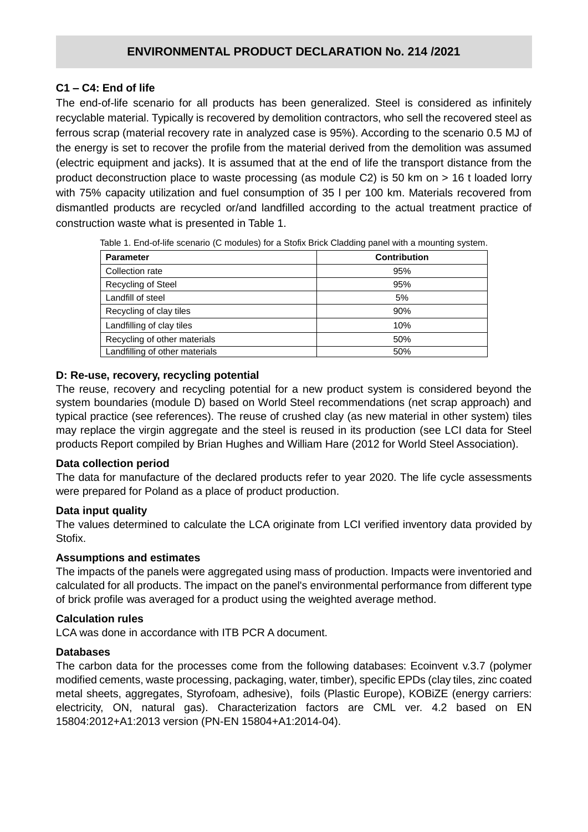#### **C1 – C4: End of life**

The end-of-life scenario for all products has been generalized. Steel is considered as infinitely recyclable material. Typically is recovered by demolition contractors, who sell the recovered steel as ferrous scrap (material recovery rate in analyzed case is 95%). According to the scenario 0.5 MJ of the energy is set to recover the profile from the material derived from the demolition was assumed (electric equipment and jacks). It is assumed that at the end of life the transport distance from the product deconstruction place to waste processing (as module C2) is 50 km on > 16 t loaded lorry with 75% capacity utilization and fuel consumption of 35 l per 100 km. Materials recovered from dismantled products are recycled or/and landfilled according to the actual treatment practice of construction waste what is presented in Table 1.

| <b>Parameter</b>               | <b>Contribution</b> |
|--------------------------------|---------------------|
| Collection rate                | 95%                 |
| <b>Recycling of Steel</b>      | 95%                 |
| Landfill of steel              | 5%                  |
| Recycling of clay tiles        | 90%                 |
| Landfilling of clay tiles      | 10%                 |
| Recycling of other materials   | 50%                 |
| Landfilling of other materials | 50%                 |

Table 1. End-of-life scenario (C modules) for a Stofix Brick Cladding panel with a mounting system.

#### **D: Re-use, recovery, recycling potential**

The reuse, recovery and recycling potential for a new product system is considered beyond the system boundaries (module D) based on World Steel recommendations (net scrap approach) and typical practice (see references). The reuse of crushed clay (as new material in other system) tiles may replace the virgin aggregate and the steel is reused in its production (see LCI data for Steel products Report compiled by Brian Hughes and William Hare (2012 for World Steel Association).

#### **Data collection period**

The data for manufacture of the declared products refer to year 2020. The life cycle assessments were prepared for Poland as a place of product production.

#### **Data input quality**

The values determined to calculate the LCA originate from LCI verified inventory data provided by Stofix.

#### **Assumptions and estimates**

The impacts of the panels were aggregated using mass of production. Impacts were inventoried and calculated for all products. The impact on the panel's environmental performance from different type of brick profile was averaged for a product using the weighted average method.

#### **Calculation rules**

LCA was done in accordance with ITB PCR A document.

#### **Databases**

The carbon data for the processes come from the following databases: Ecoinvent v.3.7 (polymer modified cements, waste processing, packaging, water, timber), specific EPDs (clay tiles, zinc coated metal sheets, aggregates, Styrofoam, adhesive), foils (Plastic Europe), KOBiZE (energy carriers: electricity, ON, natural gas). Characterization factors are CML ver. 4.2 based on EN 15804:2012+A1:2013 version (PN-EN 15804+A1:2014-04).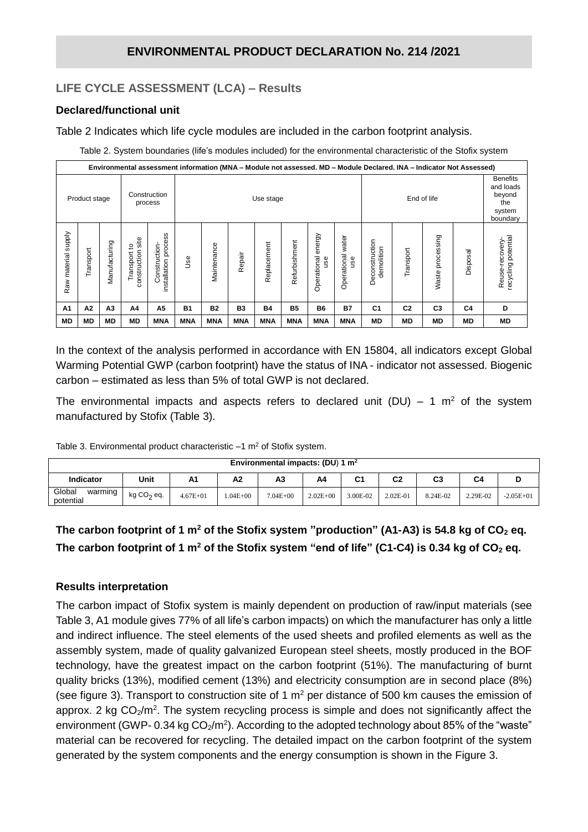## **LIFE CYCLE ASSESSMENT (LCA) – Results**

#### **Declared/functional unit**

Table 2 Indicates which life cycle modules are included in the carbon footprint analysis.

Table 2. System boundaries (life's modules included) for the environmental characteristic of the Stofix system

| Environmental assessment information (MNA - Module not assessed. MD - Module Declared. INA - Indicator Not Assessed) |               |               |                                        |                                         |            |                          |            |             |               |                              |                             |                              |                                                                     |                  |                |                                       |
|----------------------------------------------------------------------------------------------------------------------|---------------|---------------|----------------------------------------|-----------------------------------------|------------|--------------------------|------------|-------------|---------------|------------------------------|-----------------------------|------------------------------|---------------------------------------------------------------------|------------------|----------------|---------------------------------------|
|                                                                                                                      | Product stage |               |                                        | Construction<br>process                 |            | End of life<br>Use stage |            |             |               |                              |                             |                              | <b>Benefits</b><br>and loads<br>beyond<br>the<br>system<br>boundary |                  |                |                                       |
| <b>Supply</b><br>Raw material                                                                                        | Transport     | Manufacturing | site<br>ి<br>construction<br>Transport | process<br>Construction<br>installation | Jse        | Maintenance              | Repair     | Replacement | Refurbishment | energy<br>Operational<br>gse | water<br>Operational<br>use | Deconstruction<br>demolition | Transport                                                           | Waste processing | Disposal       | recycling potential<br>Reuse-recovery |
| A <sub>1</sub>                                                                                                       | A2            | A3            | A4                                     | A5                                      | <b>B1</b>  | <b>B2</b>                | <b>B3</b>  | <b>B4</b>   | <b>B5</b>     | <b>B6</b>                    | <b>B7</b>                   | C <sub>1</sub>               | C <sub>2</sub>                                                      | C <sub>3</sub>   | C <sub>4</sub> | D                                     |
| <b>MD</b>                                                                                                            | <b>MD</b>     | MD            | <b>MD</b>                              | <b>MNA</b>                              | <b>MNA</b> | <b>MNA</b>               | <b>MNA</b> | <b>MNA</b>  | <b>MNA</b>    | <b>MNA</b>                   | <b>MNA</b>                  | MD                           | <b>MD</b>                                                           | МD               | <b>MD</b>      | MD                                    |

In the context of the analysis performed in accordance with EN 15804, all indicators except Global Warming Potential GWP (carbon footprint) have the status of INA - indicator not assessed. Biogenic carbon – estimated as less than 5% of total GWP is not declared.

The environmental impacts and aspects refers to declared unit (DU) – 1  $m<sup>2</sup>$  of the system manufactured by Stofix (Table 3).

Table 3. Environmental product characteristic  $-1$  m<sup>2</sup> of Stofix system.

|                                |              |              |             | Environmental impacts: (DU) 1 $m2$ |              |          |          |          |                |             |
|--------------------------------|--------------|--------------|-------------|------------------------------------|--------------|----------|----------|----------|----------------|-------------|
| Indicator                      | Unit         | A1           | Α2          | A3                                 | A4           | C1       | C2       | C3       | C <sub>4</sub> |             |
| Global<br>warming<br>potential | $kg CO2$ eq. | $4.67E + 01$ | $.04E + 00$ | $7.04E + 00$                       | $2.02E + 00$ | 3.00E-02 | 2.02E-01 | 8.24E-02 | 2.29E-02       | $-2.05E+01$ |

# **The carbon footprint of 1 m<sup>2</sup> of the Stofix system "production" (A1-A3) is 54.8 kg of CO<sup>2</sup> eq. The carbon footprint of 1 m<sup>2</sup> of the Stofix system "end of life" (C1-C4) is 0.34 kg of CO<sup>2</sup> eq.**

#### **Results interpretation**

The carbon impact of Stofix system is mainly dependent on production of raw/input materials (see Table 3, A1 module gives 77% of all life's carbon impacts) on which the manufacturer has only a little and indirect influence. The steel elements of the used sheets and profiled elements as well as the assembly system, made of quality galvanized European steel sheets, mostly produced in the BOF technology, have the greatest impact on the carbon footprint (51%). The manufacturing of burnt quality bricks (13%), modified cement (13%) and electricity consumption are in second place (8%) (see figure 3). Transport to construction site of 1  $m<sup>2</sup>$  per distance of 500 km causes the emission of approx. 2 kg  $CO<sub>2</sub>/m<sup>2</sup>$ . The system recycling process is simple and does not significantly affect the environment (GWP- 0.34 kg  $CO<sub>2</sub>/m<sup>2</sup>$ ). According to the adopted technology about 85% of the "waste" material can be recovered for recycling. The detailed impact on the carbon footprint of the system generated by the system components and the energy consumption is shown in the Figure 3.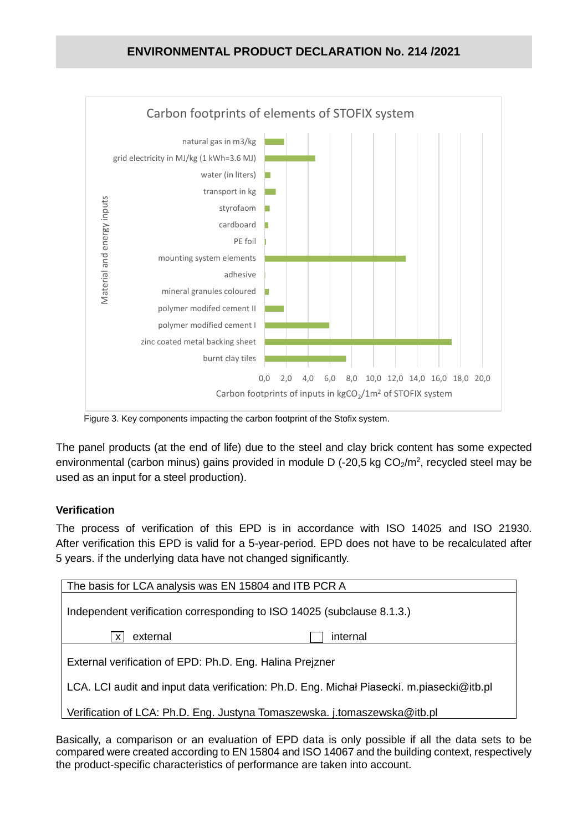

Figure 3. Key components impacting the carbon footprint of the Stofix system.

The panel products (at the end of life) due to the steel and clay brick content has some expected environmental (carbon minus) gains provided in module D (-20,5 kg  $CO<sub>2</sub>/m<sup>2</sup>$ , recycled steel may be used as an input for a steel production).

#### **Verification**

The process of verification of this EPD is in accordance with ISO 14025 and ISO 21930. After verification this EPD is valid for a 5-year-period. EPD does not have to be recalculated after 5 years. if the underlying data have not changed significantly.

| The basis for LCA analysis was EN 15804 and ITB PCR A                                     |
|-------------------------------------------------------------------------------------------|
| Independent verification corresponding to ISO 14025 (subclause 8.1.3.)                    |
| external<br>internal<br>X                                                                 |
| External verification of EPD: Ph.D. Eng. Halina Prejzner                                  |
| LCA. LCI audit and input data verification: Ph.D. Eng. Michał Piasecki. m.piasecki@itb.pl |
| Verification of LCA: Ph.D. Eng. Justyna Tomaszewska. j.tomaszewska@itb.pl                 |

Basically, a comparison or an evaluation of EPD data is only possible if all the data sets to be compared were created according to EN 15804 and ISO 14067 and the building context, respectively the product-specific characteristics of performance are taken into account.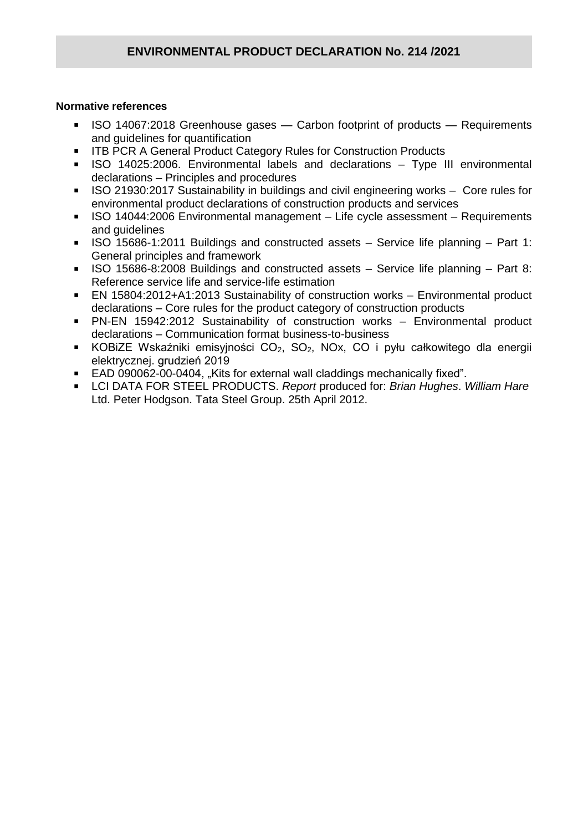#### **Normative references**

- ISO 14067:2018 Greenhouse gases Carbon footprint of products Requirements and guidelines for quantification
- **ITB PCR A General Product Category Rules for Construction Products**
- ISO 14025:2006. Environmental labels and declarations Type III environmental declarations – Principles and procedures
- ISO 21930:2017 Sustainability in buildings and civil engineering works Core rules for environmental product declarations of construction products and services
- ISO 14044:2006 Environmental management Life cycle assessment Requirements and guidelines
- ISO 15686-1:2011 Buildings and constructed assets Service life planning Part 1: General principles and framework
- ISO 15686-8:2008 Buildings and constructed assets Service life planning Part 8: Reference service life and service-life estimation
- EN 15804:2012+A1:2013 Sustainability of construction works Environmental product declarations – Core rules for the product category of construction products
- PN-EN 15942:2012 Sustainability of construction works Environmental product declarations – Communication format business-to-business
- KOBIZE Wskaźniki emisyjności  $CO<sub>2</sub>$ ,  $SO<sub>2</sub>$ , NOx, CO i pyłu całkowitego dla energii elektrycznej. grudzień 2019
- EAD 090062-00-0404, "Kits for external wall claddings mechanically fixed".
- LCI DATA FOR STEEL PRODUCTS. *Report* produced for: *Brian Hughes*. *William Hare* Ltd. Peter Hodgson. Tata Steel Group. 25th April 2012.